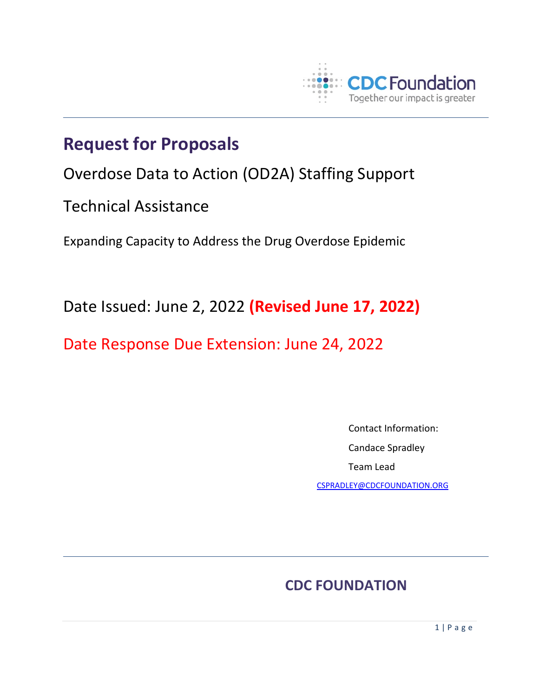

# **Request for Proposals**

Overdose Data to Action (OD2A) Staffing Support

Technical Assistance

Expanding Capacity to Address the Drug Overdose Epidemic

Date Issued: June 2, 2022 **(Revised June 17, 2022)**

Date Response Due Extension: June 24, 2022

 Contact Information: Candace Spradley Team Lead

[CSPRADLEY@CDCFOUNDATION.ORG](mailto:CSPRADLEY@CDCFOUNDATION.ORG)

## **CDC FOUNDATION**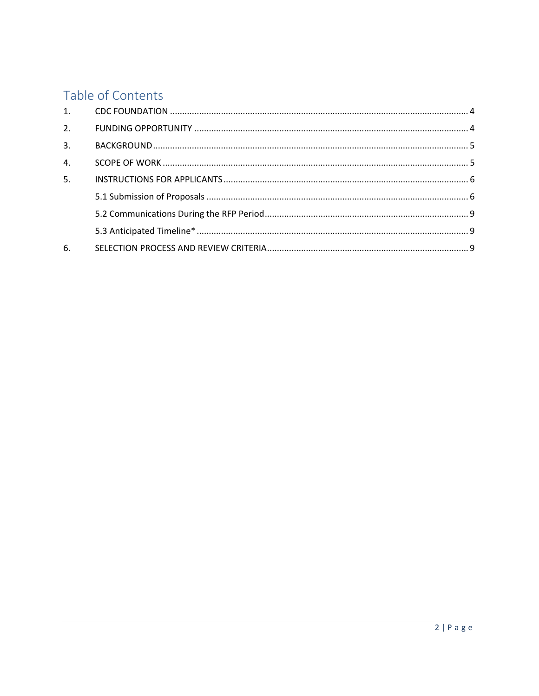## Table of Contents

| 2.               |  |
|------------------|--|
| 3.               |  |
| $\overline{4}$ . |  |
| 5.               |  |
|                  |  |
|                  |  |
|                  |  |
| 6.               |  |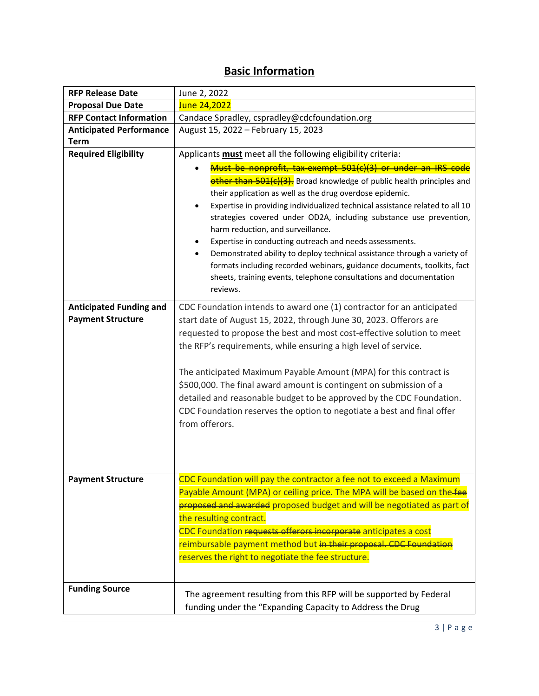## **Basic Information**

| <b>RFP Release Date</b>                                    | June 2, 2022                                                                                                                                                                                                                                                                                                                                                                                                                                                                                                                                                                                                                                                                                     |  |  |
|------------------------------------------------------------|--------------------------------------------------------------------------------------------------------------------------------------------------------------------------------------------------------------------------------------------------------------------------------------------------------------------------------------------------------------------------------------------------------------------------------------------------------------------------------------------------------------------------------------------------------------------------------------------------------------------------------------------------------------------------------------------------|--|--|
| <b>Proposal Due Date</b>                                   | June 24,2022                                                                                                                                                                                                                                                                                                                                                                                                                                                                                                                                                                                                                                                                                     |  |  |
| <b>RFP Contact Information</b>                             | Candace Spradley, cspradley@cdcfoundation.org                                                                                                                                                                                                                                                                                                                                                                                                                                                                                                                                                                                                                                                    |  |  |
| <b>Anticipated Performance</b>                             | August 15, 2022 - February 15, 2023                                                                                                                                                                                                                                                                                                                                                                                                                                                                                                                                                                                                                                                              |  |  |
| <b>Term</b>                                                |                                                                                                                                                                                                                                                                                                                                                                                                                                                                                                                                                                                                                                                                                                  |  |  |
| <b>Required Eligibility</b>                                | Applicants must meet all the following eligibility criteria:                                                                                                                                                                                                                                                                                                                                                                                                                                                                                                                                                                                                                                     |  |  |
|                                                            | Must be nonprofit, tax-exempt 501(c)(3) or under an IRS code<br>other than 501(c)(3). Broad knowledge of public health principles and<br>their application as well as the drug overdose epidemic.<br>Expertise in providing individualized technical assistance related to all 10<br>strategies covered under OD2A, including substance use prevention,<br>harm reduction, and surveillance.<br>Expertise in conducting outreach and needs assessments.<br>Demonstrated ability to deploy technical assistance through a variety of<br>formats including recorded webinars, guidance documents, toolkits, fact<br>sheets, training events, telephone consultations and documentation<br>reviews. |  |  |
| <b>Anticipated Funding and</b><br><b>Payment Structure</b> | CDC Foundation intends to award one (1) contractor for an anticipated<br>start date of August 15, 2022, through June 30, 2023. Offerors are<br>requested to propose the best and most cost-effective solution to meet<br>the RFP's requirements, while ensuring a high level of service.<br>The anticipated Maximum Payable Amount (MPA) for this contract is<br>\$500,000. The final award amount is contingent on submission of a<br>detailed and reasonable budget to be approved by the CDC Foundation.<br>CDC Foundation reserves the option to negotiate a best and final offer<br>from offerors.                                                                                          |  |  |
| Payment Structure                                          | CDC Foundation will pay the contractor a fee not to exceed a Maximum<br>Payable Amount (MPA) or ceiling price. The MPA will be based on the fee<br>proposed and awarded proposed budget and will be negotiated as part of<br>the resulting contract.<br>CDC Foundation requests offerors incorporate anticipates a cost<br>reimbursable payment method but in their proposal. CDC Foundation<br>reserves the right to negotiate the fee structure.                                                                                                                                                                                                                                               |  |  |
| <b>Funding Source</b>                                      | The agreement resulting from this RFP will be supported by Federal<br>funding under the "Expanding Capacity to Address the Drug                                                                                                                                                                                                                                                                                                                                                                                                                                                                                                                                                                  |  |  |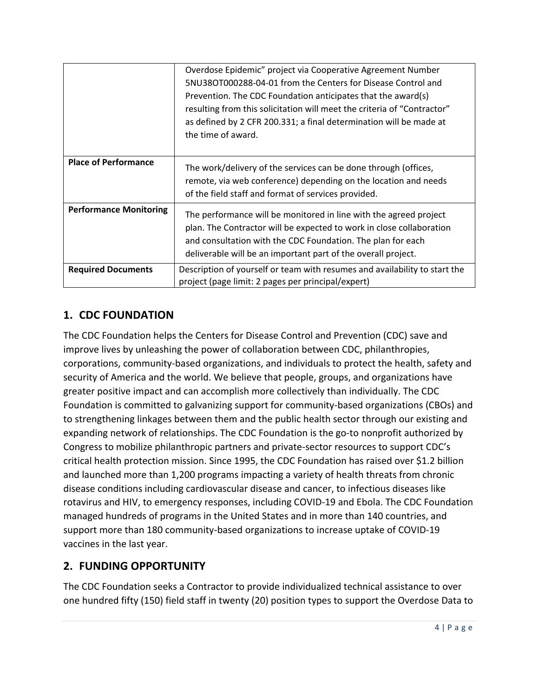|                               | Overdose Epidemic" project via Cooperative Agreement Number                |
|-------------------------------|----------------------------------------------------------------------------|
|                               | 5NU38OT000288-04-01 from the Centers for Disease Control and               |
|                               | Prevention. The CDC Foundation anticipates that the award(s)               |
|                               | resulting from this solicitation will meet the criteria of "Contractor"    |
|                               | as defined by 2 CFR 200.331; a final determination will be made at         |
|                               | the time of award.                                                         |
|                               |                                                                            |
| <b>Place of Performance</b>   | The work/delivery of the services can be done through (offices,            |
|                               | remote, via web conference) depending on the location and needs            |
|                               | of the field staff and format of services provided.                        |
|                               |                                                                            |
| <b>Performance Monitoring</b> | The performance will be monitored in line with the agreed project          |
|                               | plan. The Contractor will be expected to work in close collaboration       |
|                               | and consultation with the CDC Foundation. The plan for each                |
|                               | deliverable will be an important part of the overall project.              |
| <b>Required Documents</b>     | Description of yourself or team with resumes and availability to start the |
|                               | project (page limit: 2 pages per principal/expert)                         |

## <span id="page-3-0"></span>**1. CDC FOUNDATION**

The CDC Foundation helps the Centers for Disease Control and Prevention (CDC) save and improve lives by unleashing the power of collaboration between CDC, philanthropies, corporations, community-based organizations, and individuals to protect the health, safety and security of America and the world. We believe that people, groups, and organizations have greater positive impact and can accomplish more collectively than individually. The CDC Foundation is committed to galvanizing support for community-based organizations (CBOs) and to strengthening linkages between them and the public health sector through our existing and expanding network of relationships. The CDC Foundation is the go-to nonprofit authorized by Congress to mobilize philanthropic partners and private-sector resources to support CDC's critical health protection mission. Since 1995, the CDC Foundation has raised over \$1.2 billion and launched more than 1,200 programs impacting a variety of health threats from chronic disease conditions including cardiovascular disease and cancer, to infectious diseases like rotavirus and HIV, to emergency responses, including COVID-19 and Ebola. The CDC Foundation managed hundreds of programs in the United States and in more than 140 countries, and support more than 180 community-based organizations to increase uptake of COVID-19 vaccines in the last year.

### <span id="page-3-1"></span>**2. FUNDING OPPORTUNITY**

The CDC Foundation seeks a Contractor to provide individualized technical assistance to over one hundred fifty (150) field staff in twenty (20) position types to support the Overdose Data to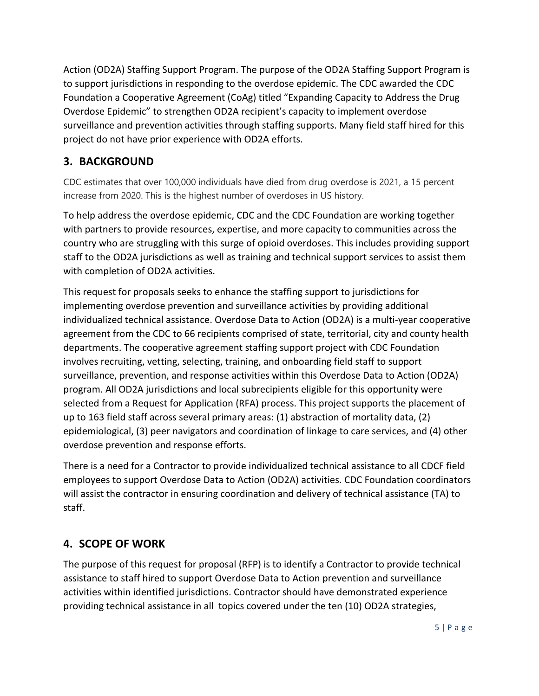Action (OD2A) Staffing Support Program. The purpose of the OD2A Staffing Support Program is to support jurisdictions in responding to the overdose epidemic. The CDC awarded the CDC Foundation a Cooperative Agreement (CoAg) titled "Expanding Capacity to Address the Drug Overdose Epidemic" to strengthen OD2A recipient's capacity to implement overdose surveillance and prevention activities through staffing supports. Many field staff hired for this project do not have prior experience with OD2A efforts.

## <span id="page-4-0"></span>**3. BACKGROUND**

CDC estimates that over 100,000 individuals have died from drug overdose is 2021, a 15 percent increase from 2020. This is the highest number of overdoses in US history.

To help address the overdose epidemic, CDC and the CDC Foundation are working together with partners to provide resources, expertise, and more capacity to communities across the country who are struggling with this surge of opioid overdoses. This includes providing support staff to the OD2A jurisdictions as well as training and technical support services to assist them with completion of OD2A activities.

This request for proposals seeks to enhance the staffing support to jurisdictions for implementing overdose prevention and surveillance activities by providing additional individualized technical assistance. Overdose Data to Action (OD2A) is a multi-year cooperative agreement from the CDC to 66 recipients comprised of state, territorial, city and county health departments. The cooperative agreement staffing support project with CDC Foundation involves recruiting, vetting, selecting, training, and onboarding field staff to support surveillance, prevention, and response activities within this Overdose Data to Action (OD2A) program. All OD2A jurisdictions and local subrecipients eligible for this opportunity were selected from a Request for Application (RFA) process. This project supports the placement of up to 163 field staff across several primary areas: (1) abstraction of mortality data, (2) epidemiological, (3) peer navigators and coordination of linkage to care services, and (4) other overdose prevention and response efforts.

There is a need for a Contractor to provide individualized technical assistance to all CDCF field employees to support Overdose Data to Action (OD2A) activities. CDC Foundation coordinators will assist the contractor in ensuring coordination and delivery of technical assistance (TA) to staff.

## <span id="page-4-1"></span>**4. SCOPE OF WORK**

The purpose of this request for proposal (RFP) is to identify a Contractor to provide technical assistance to staff hired to support Overdose Data to Action prevention and surveillance activities within identified jurisdictions. Contractor should have demonstrated experience providing technical assistance in all topics covered under the ten (10) OD2A strategies,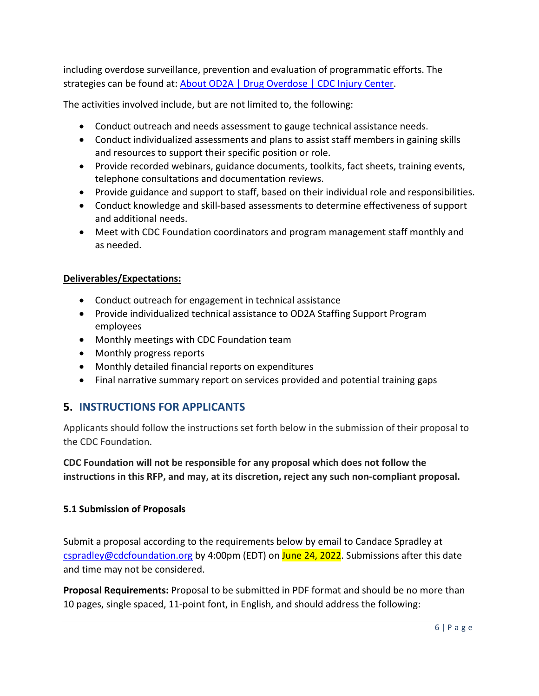including overdose surveillance, prevention and evaluation of programmatic efforts. The strategies can be found at: [About OD2A | Drug Overdose | CDC Injury Center.](https://www.cdc.gov/drugoverdose/od2a/about.html)

The activities involved include, but are not limited to, the following:

- Conduct outreach and needs assessment to gauge technical assistance needs.
- Conduct individualized assessments and plans to assist staff members in gaining skills and resources to support their specific position or role.
- Provide recorded webinars, guidance documents, toolkits, fact sheets, training events, telephone consultations and documentation reviews.
- Provide guidance and support to staff, based on their individual role and responsibilities.
- Conduct knowledge and skill-based assessments to determine effectiveness of support and additional needs.
- Meet with CDC Foundation coordinators and program management staff monthly and as needed.

#### **Deliverables/Expectations:**

- Conduct outreach for engagement in technical assistance
- Provide individualized technical assistance to OD2A Staffing Support Program employees
- Monthly meetings with CDC Foundation team
- Monthly progress reports
- Monthly detailed financial reports on expenditures
- Final narrative summary report on services provided and potential training gaps

### <span id="page-5-0"></span>**5. INSTRUCTIONS FOR APPLICANTS**

Applicants should follow the instructions set forth below in the submission of their proposal to the CDC Foundation.

**CDC Foundation will not be responsible for any proposal which does not follow the instructions in this RFP, and may, at its discretion, reject any such non-compliant proposal.**

#### <span id="page-5-1"></span>**5.1 Submission of Proposals**

Submit a proposal according to the requirements below by email to Candace Spradley at [cspradley@cdcfoundation.org](mailto:cspradley@cdcfoundation.org) by 4:00pm (EDT) on June 24, 2022. Submissions after this date and time may not be considered.

**Proposal Requirements:** Proposal to be submitted in PDF format and should be no more than 10 pages, single spaced, 11-point font, in English, and should address the following: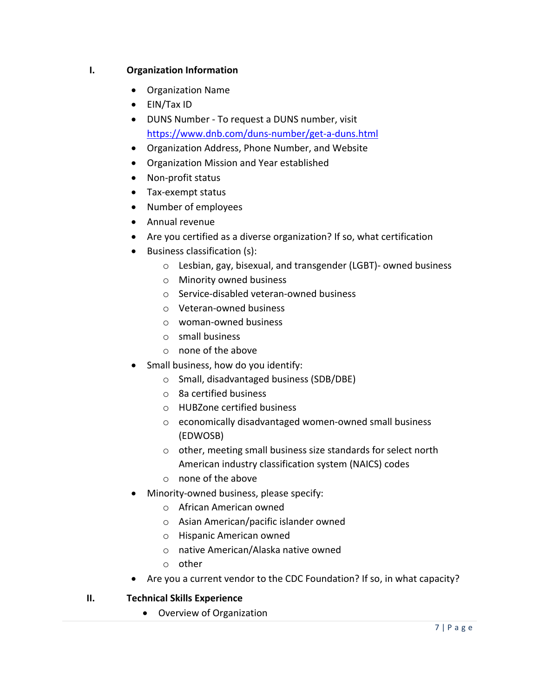#### **I. Organization Information**

- Organization Name
- EIN/Tax ID
- DUNS Number To request a DUNS number, visit <https://www.dnb.com/duns-number/get-a-duns.html>
- Organization Address, Phone Number, and Website
- Organization Mission and Year established
- Non-profit status
- Tax-exempt status
- Number of employees
- Annual revenue
- Are you certified as a diverse organization? If so, what certification
- Business classification (s):
	- o Lesbian, gay, bisexual, and transgender (LGBT)- owned business
	- o Minority owned business
	- o Service-disabled veteran-owned business
	- o Veteran-owned business
	- o woman-owned business
	- o small business
	- o none of the above
- Small business, how do you identify:
	- o Small, disadvantaged business (SDB/DBE)
	- o 8a certified business
	- o HUBZone certified business
	- o economically disadvantaged women-owned small business (EDWOSB)
	- o other, meeting small business size standards for select north American industry classification system (NAICS) codes
	- o none of the above
- Minority-owned business, please specify:
	- o African American owned
	- o Asian American/pacific islander owned
	- o Hispanic American owned
	- o native American/Alaska native owned
	- o other
- Are you a current vendor to the CDC Foundation? If so, in what capacity?
- **II. Technical Skills Experience**
	- Overview of Organization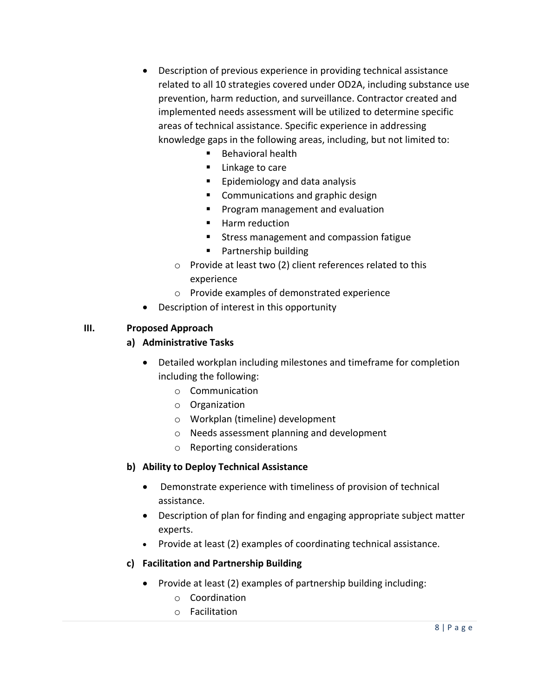- Description of previous experience in providing technical assistance related to all 10 strategies covered under OD2A, including substance use prevention, harm reduction, and surveillance. Contractor created and implemented needs assessment will be utilized to determine specific areas of technical assistance. Specific experience in addressing knowledge gaps in the following areas, including, but not limited to:
	- Behavioral health
	- Linkage to care
	- **Epidemiology and data analysis**
	- **Communications and graphic design**
	- **Program management and evaluation**
	- Harm reduction
	- **Stress management and compassion fatigue**
	- **Partnership building**
	- o Provide at least two (2) client references related to this experience
	- o Provide examples of demonstrated experience
- Description of interest in this opportunity

#### **III. Proposed Approach**

#### **a) Administrative Tasks**

- Detailed workplan including milestones and timeframe for completion including the following:
	- o Communication
	- o Organization
	- o Workplan (timeline) development
	- o Needs assessment planning and development
	- o Reporting considerations

#### **b) Ability to Deploy Technical Assistance**

- Demonstrate experience with timeliness of provision of technical assistance.
- Description of plan for finding and engaging appropriate subject matter experts.
- Provide at least (2) examples of coordinating technical assistance.
- **c) Facilitation and Partnership Building**
	- Provide at least (2) examples of partnership building including:
		- o Coordination
		- o Facilitation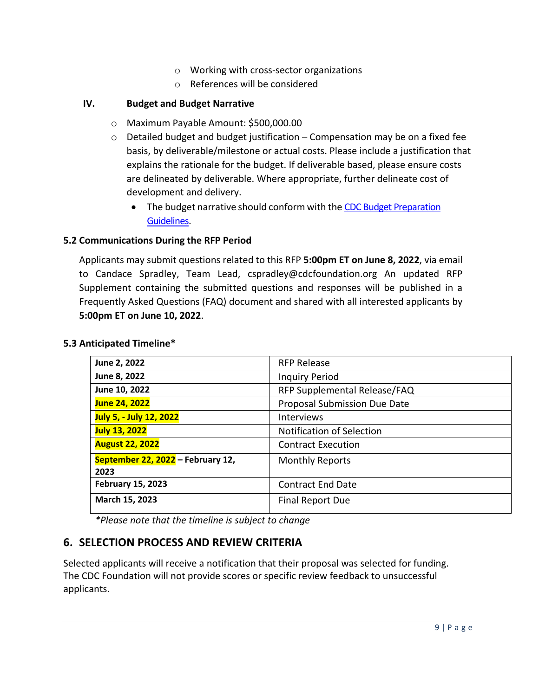- o Working with cross-sector organizations
- o References will be considered

#### **IV. Budget and Budget Narrative**

- o Maximum Payable Amount: \$500,000.00
- $\circ$  Detailed budget and budget justification Compensation may be on a fixed fee basis, by deliverable/milestone or actual costs. Please include a justification that explains the rationale for the budget. If deliverable based, please ensure costs are delineated by deliverable. Where appropriate, further delineate cost of development and delivery.
	- The budget narrative should conform with the CDC Budget Preparation [Guidelines.](https://www.cdc.gov/hiv/pdf/funding/announcements/ps15-1509/ps15-1509-budget-preparation-guidelines.pdf)

#### <span id="page-8-0"></span>**5.2 Communications During the RFP Period**

Applicants may submit questions related to this RFP **5:00pm ET on June 8, 2022**, via email to Candace Spradley, Team Lead, cspradley@cdcfoundation.org An updated RFP Supplement containing the submitted questions and responses will be published in a Frequently Asked Questions (FAQ) document and shared with all interested applicants by **5:00pm ET on June 10, 2022**.

#### <span id="page-8-1"></span>**5.3 Anticipated Timeline\***

| <b>RFP Release</b>                  |
|-------------------------------------|
| <b>Inquiry Period</b>               |
| RFP Supplemental Release/FAQ        |
| <b>Proposal Submission Due Date</b> |
| Interviews                          |
| <b>Notification of Selection</b>    |
| <b>Contract Execution</b>           |
| <b>Monthly Reports</b>              |
|                                     |
| <b>Contract End Date</b>            |
| <b>Final Report Due</b>             |
|                                     |

*\*Please note that the timeline is subject to change* 

## <span id="page-8-2"></span>**6. SELECTION PROCESS AND REVIEW CRITERIA**

Selected applicants will receive a notification that their proposal was selected for funding. The CDC Foundation will not provide scores or specific review feedback to unsuccessful applicants.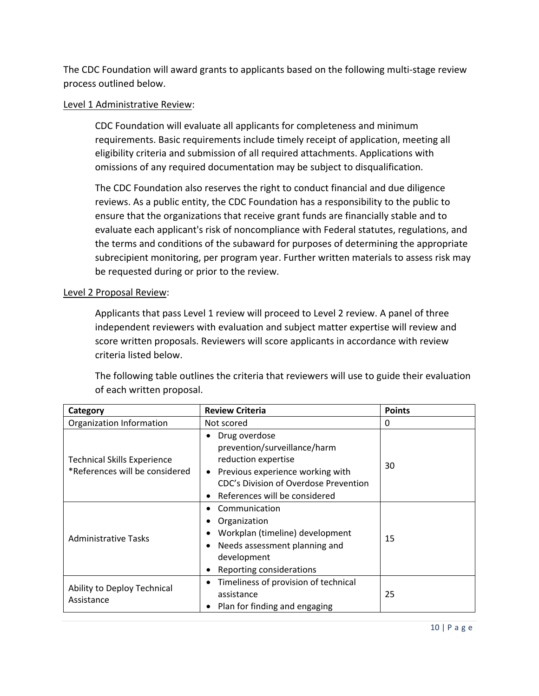The CDC Foundation will award grants to applicants based on the following multi-stage review process outlined below.

#### Level 1 Administrative Review:

CDC Foundation will evaluate all applicants for completeness and minimum requirements. Basic requirements include timely receipt of application, meeting all eligibility criteria and submission of all required attachments. Applications with omissions of any required documentation may be subject to disqualification.

The CDC Foundation also reserves the right to conduct financial and due diligence reviews. As a public entity, the CDC Foundation has a responsibility to the public to ensure that the organizations that receive grant funds are financially stable and to evaluate each applicant's risk of noncompliance with Federal statutes, regulations, and the terms and conditions of the subaward for purposes of determining the appropriate subrecipient monitoring, per program year. Further written materials to assess risk may be requested during or prior to the review.

#### Level 2 Proposal Review:

Applicants that pass Level 1 review will proceed to Level 2 review. A panel of three independent reviewers with evaluation and subject matter expertise will review and score written proposals. Reviewers will score applicants in accordance with review criteria listed below.

The following table outlines the criteria that reviewers will use to guide their evaluation of each written proposal.

| Category                                                             | <b>Review Criteria</b>                                                                                                                                                                                    | <b>Points</b> |
|----------------------------------------------------------------------|-----------------------------------------------------------------------------------------------------------------------------------------------------------------------------------------------------------|---------------|
| Organization Information                                             | Not scored                                                                                                                                                                                                | 0             |
| <b>Technical Skills Experience</b><br>*References will be considered | Drug overdose<br>٠<br>prevention/surveillance/harm<br>reduction expertise<br>Previous experience working with<br>$\bullet$<br>CDC's Division of Overdose Prevention<br>References will be considered<br>٠ | 30            |
| <b>Administrative Tasks</b>                                          | Communication<br>Organization<br>Workplan (timeline) development<br>Needs assessment planning and<br>٠<br>development<br>Reporting considerations<br>٠                                                    | 15            |
| Ability to Deploy Technical<br>Assistance                            | Timeliness of provision of technical<br>٠<br>assistance<br>Plan for finding and engaging                                                                                                                  | 25            |